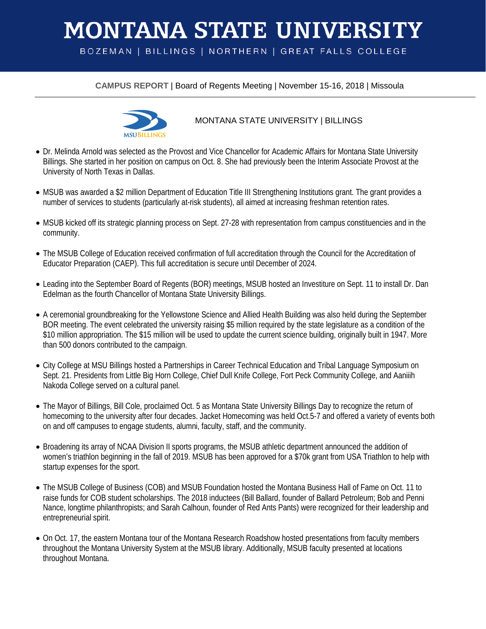## **MONTANA STATE UNIVERSITY**

BOZEMAN | BILLINGS | NORTHERN | GREAT FALLS COLLEGE

**CAMPUS REPORT** | Board of Regents Meeting | November 15-16, 2018 | Missoula



## MONTANA STATE UNIVERSITY | BILLINGS

- Dr. Melinda Arnold was selected as the Provost and Vice Chancellor for Academic Affairs for Montana State University Billings. She started in her position on campus on Oct. 8. She had previously been the Interim Associate Provost at the University of North Texas in Dallas.
- MSUB was awarded a \$2 million Department of Education Title III Strengthening Institutions grant. The grant provides a number of services to students (particularly at-risk students), all aimed at increasing freshman retention rates.
- MSUB kicked off its strategic planning process on Sept. 27-28 with representation from campus constituencies and in the community.
- The MSUB College of Education received confirmation of full accreditation through the Council for the Accreditation of Educator Preparation (CAEP). This full accreditation is secure until December of 2024.
- Leading into the September Board of Regents (BOR) meetings, MSUB hosted an Investiture on Sept. 11 to install Dr. Dan Edelman as the fourth Chancellor of Montana State University Billings.
- A ceremonial groundbreaking for the Yellowstone Science and Allied Health Building was also held during the September BOR meeting. The event celebrated the university raising \$5 million required by the state legislature as a condition of the \$10 million appropriation. The \$15 million will be used to update the current science building, originally built in 1947. More than 500 donors contributed to the campaign.
- City College at MSU Billings hosted a Partnerships in Career Technical Education and Tribal Language Symposium on Sept. 21. Presidents from Little Big Horn College, Chief Dull Knife College, Fort Peck Community College, and Aaniiih Nakoda College served on a cultural panel.
- The Mayor of Billings, Bill Cole, proclaimed Oct. 5 as Montana State University Billings Day to recognize the return of homecoming to the university after four decades. Jacket Homecoming was held Oct.5-7 and offered a variety of events both on and off campuses to engage students, alumni, faculty, staff, and the community.
- Broadening its array of NCAA Division II sports programs, the MSUB athletic department announced the addition of women's triathlon beginning in the fall of 2019. MSUB has been approved for a \$70k grant from USA Triathlon to help with startup expenses for the sport.
- The MSUB College of Business (COB) and MSUB Foundation hosted the Montana Business Hall of Fame on Oct. 11 to raise funds for COB student scholarships. The 2018 inductees (Bill Ballard, founder of Ballard Petroleum; Bob and Penni Nance, longtime philanthropists; and Sarah Calhoun, founder of Red Ants Pants) were recognized for their leadership and entrepreneurial spirit.
- On Oct. 17, the eastern Montana tour of the Montana Research Roadshow hosted presentations from faculty members throughout the Montana University System at the MSUB library. Additionally, MSUB faculty presented at locations throughout Montana.